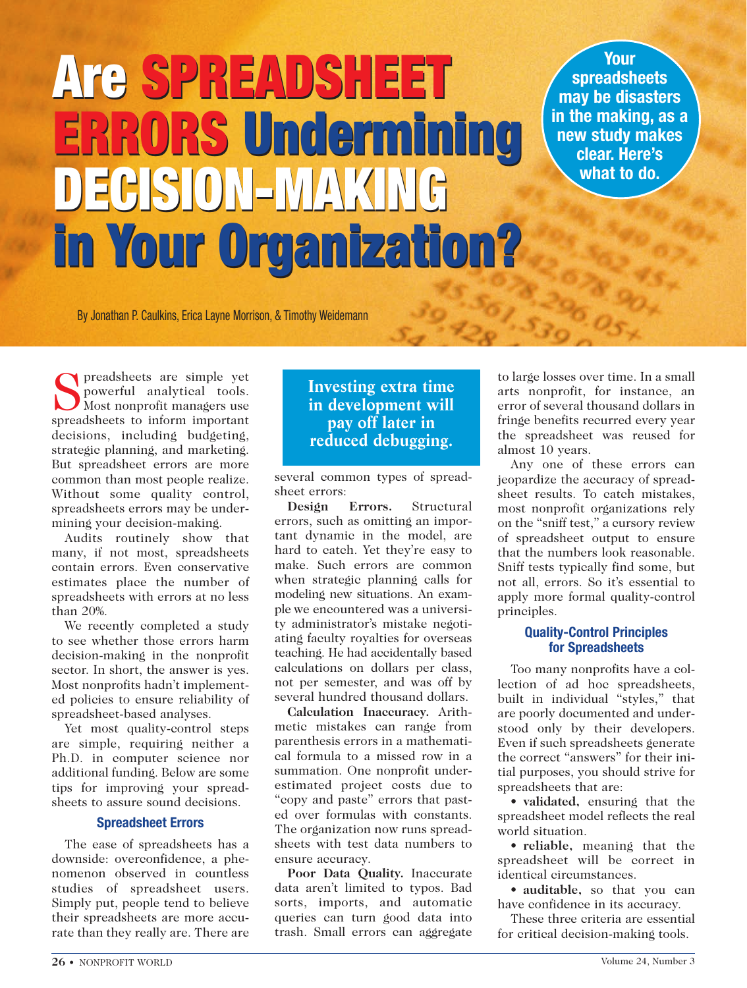# **Are SPREADSHEET Are SPREADSHEET ERRORS Undermining ERRORS Undermining DECISION-MAKING DECISION-MAKING in Your Organization? in Your Organization?**

**Your spreadsheets may be disasters in the making, as a new study makes clear. Here's what to do.**

By Jonathan P. Caulkins, Erica Layne Morrison, & Timothy Weidemann

Spreadsheets are simple yet<br>powerful analytical tools.<br>Most nonprofit managers use powerful analytical tools. Most nonprofit managers use spreadsheets to inform important decisions, including budgeting, strategic planning, and marketing. But spreadsheet errors are more common than most people realize. Without some quality control, spreadsheets errors may be undermining your decision-making.

Audits routinely show that many, if not most, spreadsheets contain errors. Even conservative estimates place the number of spreadsheets with errors at no less than 20%.

We recently completed a study to see whether those errors harm decision-making in the nonprofit sector. In short, the answer is yes. Most nonprofits hadn't implemented policies to ensure reliability of spreadsheet-based analyses.

Yet most quality-control steps are simple, requiring neither a Ph.D. in computer science nor additional funding. Below are some tips for improving your spreadsheets to assure sound decisions.

#### **Spreadsheet Errors**

The ease of spreadsheets has a downside: overconfidence, a phenomenon observed in countless studies of spreadsheet users. Simply put, people tend to believe their spreadsheets are more accurate than they really are. There are

# **Investing extra time in development will pay off later in reduced debugging.**

several common types of spreadsheet errors:

**Design Errors.** Structural errors, such as omitting an important dynamic in the model, are hard to catch. Yet they're easy to make. Such errors are common when strategic planning calls for modeling new situations. An example we encountered was a university administrator's mistake negotiating faculty royalties for overseas teaching. He had accidentally based calculations on dollars per class, not per semester, and was off by several hundred thousand dollars.

**Calculation Inaccuracy.** Arithmetic mistakes can range from parenthesis errors in a mathematical formula to a missed row in a summation. One nonprofit underestimated project costs due to "copy and paste" errors that pasted over formulas with constants. The organization now runs spreadsheets with test data numbers to ensure accuracy.

**Poor Data Quality.** Inaccurate data aren't limited to typos. Bad sorts, imports, and automatic queries can turn good data into trash. Small errors can aggregate

to large losses over time. In a small arts nonprofit, for instance, an error of several thousand dollars in fringe benefits recurred every year the spreadsheet was reused for almost 10 years.

 $^{57}$ .  $^{57}$ 

Any one of these errors can jeopardize the accuracy of spreadsheet results. To catch mistakes, most nonprofit organizations rely on the "sniff test," a cursory review of spreadsheet output to ensure that the numbers look reasonable. Sniff tests typically find some, but not all, errors. So it's essential to apply more formal quality-control principles.

#### **Quality-Control Principles for Spreadsheets**

Too many nonprofits have a collection of ad hoc spreadsheets, built in individual "styles," that are poorly documented and understood only by their developers. Even if such spreadsheets generate the correct "answers" for their initial purposes, you should strive for spreadsheets that are:

• **validated,** ensuring that the spreadsheet model reflects the real world situation.

• **reliable,** meaning that the spreadsheet will be correct in identical circumstances.

• **auditable,** so that you can have confidence in its accuracy.

These three criteria are essential for critical decision-making tools.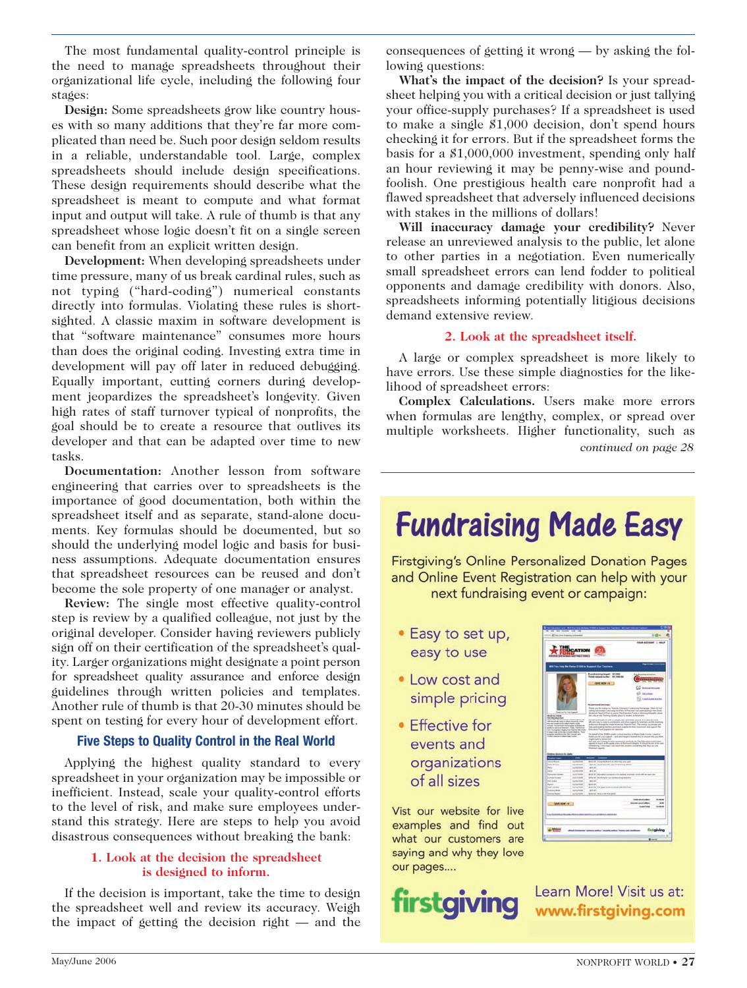The most fundamental quality-control principle is the need to manage spreadsheets throughout their organizational life cycle, including the following four stages:

**Design:** Some spreadsheets grow like country houses with so many additions that they're far more complicated than need be. Such poor design seldom results in a reliable, understandable tool. Large, complex spreadsheets should include design specifications. These design requirements should describe what the spreadsheet is meant to compute and what format input and output will take. A rule of thumb is that any spreadsheet whose logic doesn't fit on a single screen can benefit from an explicit written design.

**Development:** When developing spreadsheets under time pressure, many of us break cardinal rules, such as not typing ("hard-coding") numerical constants directly into formulas. Violating these rules is shortsighted. A classic maxim in software development is that "software maintenance" consumes more hours than does the original coding. Investing extra time in development will pay off later in reduced debugging. Equally important, cutting corners during development jeopardizes the spreadsheet's longevity. Given high rates of staff turnover typical of nonprofits, the goal should be to create a resource that outlives its developer and that can be adapted over time to new tasks.

**Documentation:** Another lesson from software engineering that carries over to spreadsheets is the importance of good documentation, both within the spreadsheet itself and as separate, stand-alone documents. Key formulas should be documented, but so should the underlying model logic and basis for business assumptions. Adequate documentation ensures that spreadsheet resources can be reused and don't become the sole property of one manager or analyst.

**Review:** The single most effective quality-control step is review by a qualified colleague, not just by the original developer. Consider having reviewers publicly sign off on their certification of the spreadsheet's quality. Larger organizations might designate a point person for spreadsheet quality assurance and enforce design guidelines through written policies and templates. Another rule of thumb is that 20-30 minutes should be spent on testing for every hour of development effort.

#### **Five Steps to Quality Control in the Real World**

Applying the highest quality standard to every spreadsheet in your organization may be impossible or inefficient. Instead, scale your quality-control efforts to the level of risk, and make sure employees understand this strategy. Here are steps to help you avoid disastrous consequences without breaking the bank:

#### **1. Look at the decision the spreadsheet is designed to inform.**

If the decision is important, take the time to design the spreadsheet well and review its accuracy. Weigh the impact of getting the decision right — and the

consequences of getting it wrong — by asking the following questions:

**What's the impact of the decision?** Is your spreadsheet helping you with a critical decision or just tallying your office-supply purchases? If a spreadsheet is used to make a single \$1,000 decision, don't spend hours checking it for errors. But if the spreadsheet forms the basis for a \$1,000,000 investment, spending only half an hour reviewing it may be penny-wise and poundfoolish. One prestigious health care nonprofit had a flawed spreadsheet that adversely influenced decisions with stakes in the millions of dollars!

**Will inaccuracy damage your credibility?** Never release an unreviewed analysis to the public, let alone to other parties in a negotiation. Even numerically small spreadsheet errors can lend fodder to political opponents and damage credibility with donors. Also, spreadsheets informing potentially litigious decisions demand extensive review.

#### **2. Look at the spreadsheet itself.**

A large or complex spreadsheet is more likely to have errors. Use these simple diagnostics for the likelihood of spreadsheet errors:

**Complex Calculations.** Users make more errors when formulas are lengthy, complex, or spread over multiple worksheets. Higher functionality, such as *continued on page 28*

# **Fundraising Made Easy**

**Firstgiving's Online Personalized Donation Pages** and Online Event Registration can help with your next fundraising event or campaign:

- Easy to set up, easy to use
- Low cost and simple pricing
- Effective for events and organizations of all sizes

Vist our website for live examples and find out what our customers are saying and why they love our pages....



|                                                                                                                                                                                                                                                                        |                                                                                                                                                                                          | I You Help the Raise E1000 to Support Cur Teachers                                                                                                                                                                                                                                                                                                                                                                                                                                                                                                                                                                                                                                                                                                                                                                                                                                                                                                                                                                                                                                                                                                                                                                                                                        |
|------------------------------------------------------------------------------------------------------------------------------------------------------------------------------------------------------------------------------------------------------------------------|------------------------------------------------------------------------------------------------------------------------------------------------------------------------------------------|---------------------------------------------------------------------------------------------------------------------------------------------------------------------------------------------------------------------------------------------------------------------------------------------------------------------------------------------------------------------------------------------------------------------------------------------------------------------------------------------------------------------------------------------------------------------------------------------------------------------------------------------------------------------------------------------------------------------------------------------------------------------------------------------------------------------------------------------------------------------------------------------------------------------------------------------------------------------------------------------------------------------------------------------------------------------------------------------------------------------------------------------------------------------------------------------------------------------------------------------------------------------------|
| <b>Instruction</b><br><b>No Editor American</b><br><b>Black Hills, The Antiques</b><br>and the paintings party to deputy personal advance<br>to an experience dark had com-<br>program stands all of the 1951 collects and<br>their resources in these closed country. | smalls, Re-Ed-Fusik Antiurigate promise-do-<br>poer or deriver barren. Folk, Particline.<br>any fium getting sharp from the country and<br>is bear with additional control shakes. These | <b>Punchasing larger: \$1,000</b><br>Total colors and to fact. Art mission<br><b>CONT MON-16</b><br><b>Business Street</b><br><b>Islamina</b><br>Load Assess Holida<br>the agreement announces.<br>Pape you for ments in Therefore Elements Fundations Performance. Other for red<br>othig adjustes of into one bid their influence that particularly it the Dave<br>desired Teacher Part is went the Election Part is informationally about<br>the informatic Texting Visito plans is dealer promotion.<br>Develop Board Are six a small, but printedly second. It is development<br>ally see the major automation and chair capacit for themes and the manner.<br>hals and in participating transferred positions or dealers for their construction and in paper of The<br>Election Tour property do doctors.<br>De hange of the SMRDs pader policed machine in March Dask County Council in<br>Park anything or support - and port topol in books that is argues also prochose.<br>high waiv to durate lost<br>bet any any fargety to raise assessors and looks for fits Education funest basis<br>apent in lock in the grab class at Bulment Higgis 4 shout to time after and<br>a Restaurage Training Angel Coats Awards the University confessional than their con- |
| <b>Dollars domains for data:</b>                                                                                                                                                                                                                                       |                                                                                                                                                                                          |                                                                                                                                                                                                                                                                                                                                                                                                                                                                                                                                                                                                                                                                                                                                                                                                                                                                                                                                                                                                                                                                                                                                                                                                                                                                           |
|                                                                                                                                                                                                                                                                        | ≕                                                                                                                                                                                        | - -                                                                                                                                                                                                                                                                                                                                                                                                                                                                                                                                                                                                                                                                                                                                                                                                                                                                                                                                                                                                                                                                                                                                                                                                                                                                       |
| Aust                                                                                                                                                                                                                                                                   | <b>Jackson</b><br><b>MARINE</b>                                                                                                                                                          | \$10 of Junprissims in Janeig Los Judi                                                                                                                                                                                                                                                                                                                                                                                                                                                                                                                                                                                                                                                                                                                                                                                                                                                                                                                                                                                                                                                                                                                                                                                                                                    |
| <b>Early Group</b><br>m                                                                                                                                                                                                                                                | <b>Johnson</b>                                                                                                                                                                           | \$25 M. Dollard AM you believe a photo<br>20.44                                                                                                                                                                                                                                                                                                                                                                                                                                                                                                                                                                                                                                                                                                                                                                                                                                                                                                                                                                                                                                                                                                                                                                                                                           |
| m                                                                                                                                                                                                                                                                      | <b>ALCOHOL:</b>                                                                                                                                                                          | <b>ALC AN</b>                                                                                                                                                                                                                                                                                                                                                                                                                                                                                                                                                                                                                                                                                                                                                                                                                                                                                                                                                                                                                                                                                                                                                                                                                                                             |
| <b>Scientists</b> Parketer                                                                                                                                                                                                                                             | <b>Juliana</b>                                                                                                                                                                           | \$10.00 Minutes I preced it is raised at what hind off as pair and                                                                                                                                                                                                                                                                                                                                                                                                                                                                                                                                                                                                                                                                                                                                                                                                                                                                                                                                                                                                                                                                                                                                                                                                        |
| <b>Company Support</b>                                                                                                                                                                                                                                                 | <b>Hundreis</b>                                                                                                                                                                          | \$100.00 deathing for fur housekeep trackers.                                                                                                                                                                                                                                                                                                                                                                                                                                                                                                                                                                                                                                                                                                                                                                                                                                                                                                                                                                                                                                                                                                                                                                                                                             |
| the come                                                                                                                                                                                                                                                               | <b>Including</b>                                                                                                                                                                         | sini                                                                                                                                                                                                                                                                                                                                                                                                                                                                                                                                                                                                                                                                                                                                                                                                                                                                                                                                                                                                                                                                                                                                                                                                                                                                      |
| <b>Service</b><br>bad scales                                                                                                                                                                                                                                           | <b><i><u>Indication</u></i></b><br><b>Includes</b>                                                                                                                                       | <b>Anti-</b><br>dettively. The grad country contents with the found                                                                                                                                                                                                                                                                                                                                                                                                                                                                                                                                                                                                                                                                                                                                                                                                                                                                                                                                                                                                                                                                                                                                                                                                       |
| <b>Indicate dense</b>                                                                                                                                                                                                                                                  | <b>Including</b>                                                                                                                                                                         | win                                                                                                                                                                                                                                                                                                                                                                                                                                                                                                                                                                                                                                                                                                                                                                                                                                                                                                                                                                                                                                                                                                                                                                                                                                                                       |
|                                                                                                                                                                                                                                                                        | <b>Jackson</b>                                                                                                                                                                           | \$10.00 MALLEY THE \$10.                                                                                                                                                                                                                                                                                                                                                                                                                                                                                                                                                                                                                                                                                                                                                                                                                                                                                                                                                                                                                                                                                                                                                                                                                                                  |
| <b>Carlos Books</b>                                                                                                                                                                                                                                                    | <b>GAVE WORK -4 3</b>                                                                                                                                                                    | <b>Holland</b><br><b>Total count color</b><br><b>Income and dies</b><br><b>Hill</b><br>tradice<br><b>Model</b>                                                                                                                                                                                                                                                                                                                                                                                                                                                                                                                                                                                                                                                                                                                                                                                                                                                                                                                                                                                                                                                                                                                                                            |

Learn More! Visit us at: www.firstgiving.com